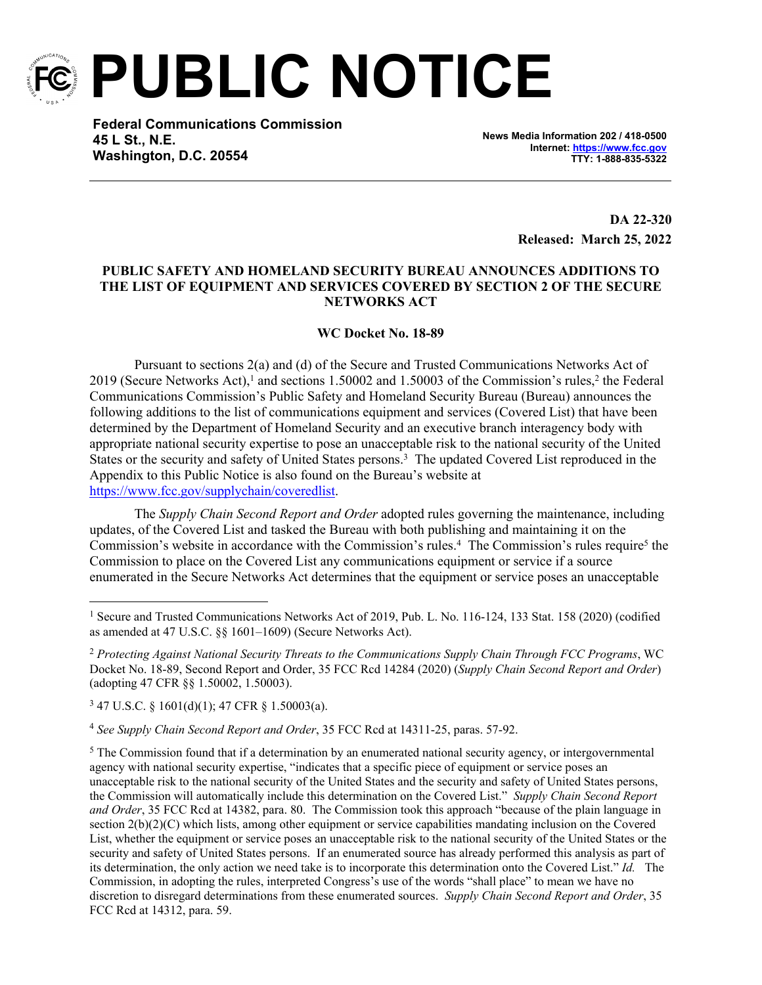

**PUBLIC NOTICE**

**Federal Communications Commission 45 L St., N.E. Washington, D.C. 20554**

**News Media Information 202 / 418-0500 Internet:<https://www.fcc.gov> TTY: 1-888-835-5322**

> **DA 22-320 Released: March 25, 2022**

## **PUBLIC SAFETY AND HOMELAND SECURITY BUREAU ANNOUNCES ADDITIONS TO THE LIST OF EQUIPMENT AND SERVICES COVERED BY SECTION 2 OF THE SECURE NETWORKS ACT**

## **WC Docket No. 18-89**

Pursuant to sections 2(a) and (d) of the Secure and Trusted Communications Networks Act of 2019 (Secure Networks Act),<sup>1</sup> and sections 1.50002 and 1.50003 of the Commission's rules,<sup>2</sup> the Federal Communications Commission's Public Safety and Homeland Security Bureau (Bureau) announces the following additions to the list of communications equipment and services (Covered List) that have been determined by the Department of Homeland Security and an executive branch interagency body with appropriate national security expertise to pose an unacceptable risk to the national security of the United States or the security and safety of United States persons.<sup>3</sup> The updated Covered List reproduced in the Appendix to this Public Notice is also found on the Bureau's website at <https://www.fcc.gov/supplychain/coveredlist>.

The *Supply Chain Second Report and Order* adopted rules governing the maintenance, including updates, of the Covered List and tasked the Bureau with both publishing and maintaining it on the Commission's website in accordance with the Commission's rules.<sup>4</sup> The Commission's rules require<sup>5</sup> the Commission to place on the Covered List any communications equipment or service if a source enumerated in the Secure Networks Act determines that the equipment or service poses an unacceptable

3 47 U.S.C. § 1601(d)(1); 47 CFR § 1.50003(a).

<sup>4</sup> *See Supply Chain Second Report and Order*, 35 FCC Rcd at 14311-25, paras. 57-92.

 $5$  The Commission found that if a determination by an enumerated national security agency, or intergovernmental agency with national security expertise, "indicates that a specific piece of equipment or service poses an unacceptable risk to the national security of the United States and the security and safety of United States persons, the Commission will automatically include this determination on the Covered List." *Supply Chain Second Report and Order*, 35 FCC Rcd at 14382, para. 80. The Commission took this approach "because of the plain language in section 2(b)(2)(C) which lists, among other equipment or service capabilities mandating inclusion on the Covered List, whether the equipment or service poses an unacceptable risk to the national security of the United States or the security and safety of United States persons. If an enumerated source has already performed this analysis as part of its determination, the only action we need take is to incorporate this determination onto the Covered List." *Id.* The Commission, in adopting the rules, interpreted Congress's use of the words "shall place" to mean we have no discretion to disregard determinations from these enumerated sources. *Supply Chain Second Report and Order*, 35 FCC Rcd at 14312, para. 59.

<sup>&</sup>lt;sup>1</sup> Secure and Trusted Communications Networks Act of 2019, Pub. L. No. 116-124, 133 Stat. 158 (2020) (codified as amended at 47 U.S.C. §§ 1601–1609) (Secure Networks Act).

<sup>2</sup> *Protecting Against National Security Threats to the Communications Supply Chain Through FCC Programs*, WC Docket No. 18-89, Second Report and Order, 35 FCC Rcd 14284 (2020) (*Supply Chain Second Report and Order*) (adopting 47 CFR §§ 1.50002, 1.50003).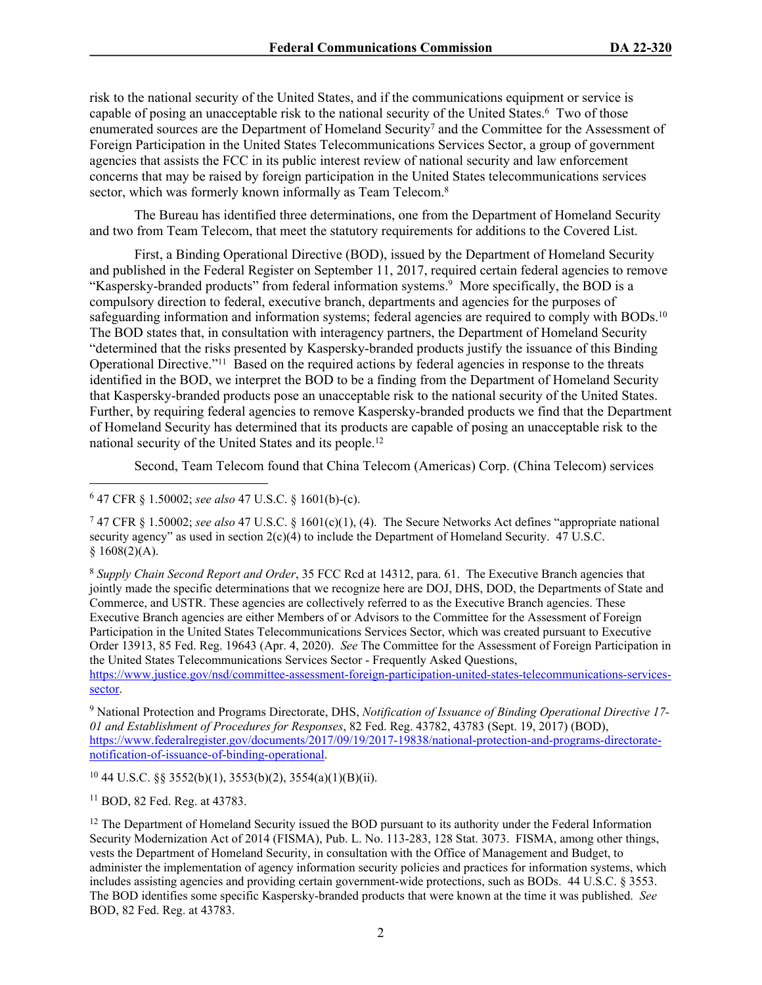risk to the national security of the United States, and if the communications equipment or service is capable of posing an unacceptable risk to the national security of the United States.<sup>6</sup> Two of those enumerated sources are the Department of Homeland Security<sup>7</sup> and the Committee for the Assessment of Foreign Participation in the United States Telecommunications Services Sector, a group of government agencies that assists the FCC in its public interest review of national security and law enforcement concerns that may be raised by foreign participation in the United States telecommunications services sector, which was formerly known informally as Team Telecom.<sup>8</sup>

The Bureau has identified three determinations, one from the Department of Homeland Security and two from Team Telecom, that meet the statutory requirements for additions to the Covered List.

First, a Binding Operational Directive (BOD), issued by the Department of Homeland Security and published in the Federal Register on September 11, 2017, required certain federal agencies to remove "Kaspersky-branded products" from federal information systems.<sup>9</sup> More specifically, the BOD is a compulsory direction to federal, executive branch, departments and agencies for the purposes of safeguarding information and information systems; federal agencies are required to comply with BODs.<sup>10</sup> The BOD states that, in consultation with interagency partners, the Department of Homeland Security "determined that the risks presented by Kaspersky-branded products justify the issuance of this Binding Operational Directive."<sup>11</sup> Based on the required actions by federal agencies in response to the threats identified in the BOD, we interpret the BOD to be a finding from the Department of Homeland Security that Kaspersky-branded products pose an unacceptable risk to the national security of the United States. Further, by requiring federal agencies to remove Kaspersky-branded products we find that the Department of Homeland Security has determined that its products are capable of posing an unacceptable risk to the national security of the United States and its people.<sup>12</sup>

Second, Team Telecom found that China Telecom (Americas) Corp. (China Telecom) services

7 47 CFR § 1.50002; *see also* 47 U.S.C. § 1601(c)(1), (4). The Secure Networks Act defines "appropriate national security agency" as used in section  $2(c)(4)$  to include the Department of Homeland Security. 47 U.S.C.  $$1608(2)(A).$ 

<sup>8</sup> *Supply Chain Second Report and Order*, 35 FCC Rcd at 14312, para. 61. The Executive Branch agencies that jointly made the specific determinations that we recognize here are DOJ, DHS, DOD, the Departments of State and Commerce, and USTR. These agencies are collectively referred to as the Executive Branch agencies. These Executive Branch agencies are either Members of or Advisors to the Committee for the Assessment of Foreign Participation in the United States Telecommunications Services Sector, which was created pursuant to Executive Order 13913, 85 Fed. Reg. 19643 (Apr. 4, 2020). *See* The Committee for the Assessment of Foreign Participation in the United States Telecommunications Services Sector - Frequently Asked Questions,

[https://www.justice.gov/nsd/committee-assessment-foreign-participation-united-states-telecommunications-services](https://www.justice.gov/nsd/committee-assessment-foreign-participation-united-states-telecommunications-services-sector)[sector.](https://www.justice.gov/nsd/committee-assessment-foreign-participation-united-states-telecommunications-services-sector)

9 National Protection and Programs Directorate, DHS, *Notification of Issuance of Binding Operational Directive 17- 01 and Establishment of Procedures for Responses*, 82 Fed. Reg. 43782, 43783 (Sept. 19, 2017) (BOD), [https://www.federalregister.gov/documents/2017/09/19/2017-19838/national-protection-and-programs-directorate](https://www.federalregister.gov/documents/2017/09/19/2017-19838/national-protection-and-programs-directorate-notification-of-issuance-of-binding-operational)[notification-of-issuance-of-binding-operational.](https://www.federalregister.gov/documents/2017/09/19/2017-19838/national-protection-and-programs-directorate-notification-of-issuance-of-binding-operational)

<sup>10</sup> 44 U.S.C. §§ 3552(b)(1), 3553(b)(2), 3554(a)(1)(B)(ii).

<sup>11</sup> BOD, 82 Fed. Reg. at 43783.

<sup>12</sup> The Department of Homeland Security issued the BOD pursuant to its authority under the Federal Information Security Modernization Act of 2014 (FISMA), Pub. L. No. 113-283, 128 Stat. 3073. FISMA, among other things, vests the Department of Homeland Security, in consultation with the Office of Management and Budget, to administer the implementation of agency information security policies and practices for information systems, which includes assisting agencies and providing certain government-wide protections, such as BODs. 44 U.S.C. § 3553. The BOD identifies some specific Kaspersky-branded products that were known at the time it was published. *See*  BOD, 82 Fed. Reg. at 43783.

<sup>6</sup> 47 CFR § 1.50002; *see also* 47 U.S.C. § 1601(b)-(c).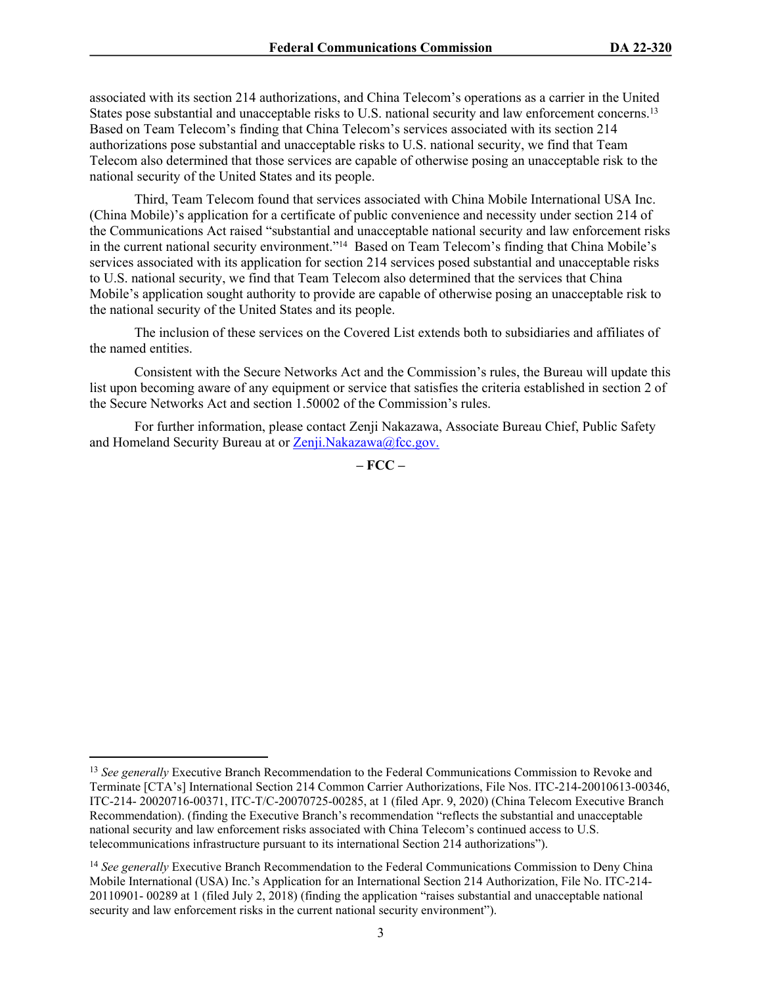associated with its section 214 authorizations, and China Telecom's operations as a carrier in the United States pose substantial and unacceptable risks to U.S. national security and law enforcement concerns.<sup>13</sup> Based on Team Telecom's finding that China Telecom's services associated with its section 214 authorizations pose substantial and unacceptable risks to U.S. national security, we find that Team Telecom also determined that those services are capable of otherwise posing an unacceptable risk to the national security of the United States and its people.

Third, Team Telecom found that services associated with China Mobile International USA Inc. (China Mobile)'s application for a certificate of public convenience and necessity under section 214 of the Communications Act raised "substantial and unacceptable national security and law enforcement risks in the current national security environment."<sup>14</sup> Based on Team Telecom's finding that China Mobile's services associated with its application for section 214 services posed substantial and unacceptable risks to U.S. national security, we find that Team Telecom also determined that the services that China Mobile's application sought authority to provide are capable of otherwise posing an unacceptable risk to the national security of the United States and its people.

The inclusion of these services on the Covered List extends both to subsidiaries and affiliates of the named entities.

Consistent with the Secure Networks Act and the Commission's rules, the Bureau will update this list upon becoming aware of any equipment or service that satisfies the criteria established in section 2 of the Secure Networks Act and section 1.50002 of the Commission's rules.

For further information, please contact Zenji Nakazawa, Associate Bureau Chief, Public Safety and Homeland Security Bureau at or [Zenji.Nakazawa@fcc.gov](mailto:Zenji.Nakazawa@fcc.gov).

**– FCC –**

<sup>&</sup>lt;sup>13</sup> See generally Executive Branch Recommendation to the Federal Communications Commission to Revoke and Terminate [CTA's] International Section 214 Common Carrier Authorizations, File Nos. ITC-214-20010613-00346, ITC-214- 20020716-00371, ITC-T/C-20070725-00285, at 1 (filed Apr. 9, 2020) (China Telecom Executive Branch Recommendation). (finding the Executive Branch's recommendation "reflects the substantial and unacceptable national security and law enforcement risks associated with China Telecom's continued access to U.S. telecommunications infrastructure pursuant to its international Section 214 authorizations").

<sup>14</sup> *See generally* Executive Branch Recommendation to the Federal Communications Commission to Deny China Mobile International (USA) Inc.'s Application for an International Section 214 Authorization, File No. ITC-214- 20110901- 00289 at 1 (filed July 2, 2018) (finding the application "raises substantial and unacceptable national security and law enforcement risks in the current national security environment").